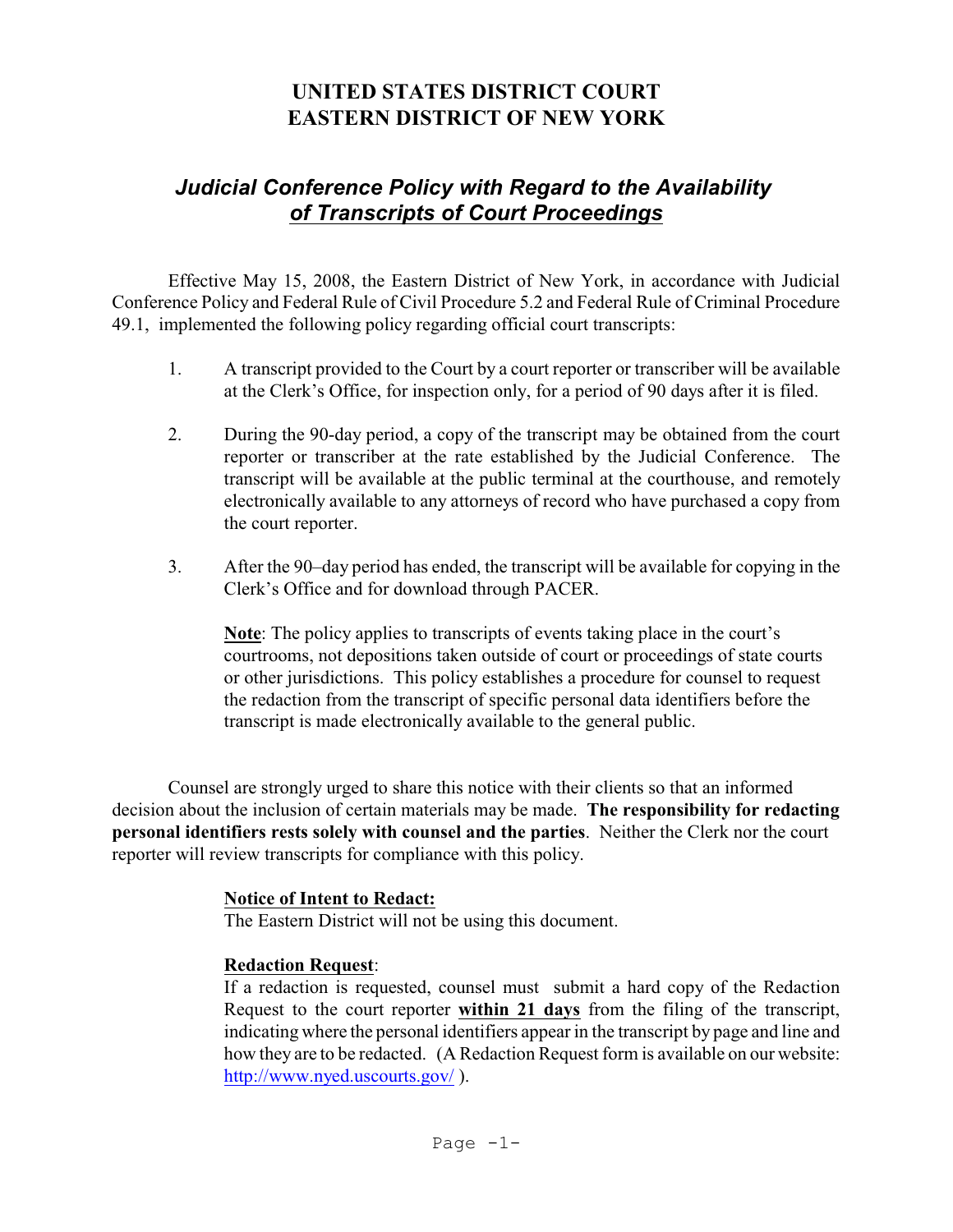# **UNITED STATES DISTRICT COURT EASTERN DISTRICT OF NEW YORK**

# *Judicial Conference Policy with Regard to the Availability of Transcripts of Court Proceedings*

Effective May 15, 2008, the Eastern District of New York, in accordance with Judicial Conference Policy and Federal Rule of Civil Procedure 5.2 and Federal Rule of Criminal Procedure 49.1, implemented the following policy regarding official court transcripts:

- 1. A transcript provided to the Court by a court reporter or transcriber will be available at the Clerk's Office, for inspection only, for a period of 90 days after it is filed.
- 2. During the 90-day period, a copy of the transcript may be obtained from the court reporter or transcriber at the rate established by the Judicial Conference. The transcript will be available at the public terminal at the courthouse, and remotely electronically available to any attorneys of record who have purchased a copy from the court reporter.
- 3. After the 90–day period has ended, the transcript will be available for copying in the Clerk's Office and for download through PACER.

**Note**: The policy applies to transcripts of events taking place in the court's courtrooms, not depositions taken outside of court or proceedings of state courts or other jurisdictions. This policy establishes a procedure for counsel to request the redaction from the transcript of specific personal data identifiers before the transcript is made electronically available to the general public.

Counsel are strongly urged to share this notice with their clients so that an informed decision about the inclusion of certain materials may be made. **The responsibility for redacting personal identifiers rests solely with counsel and the parties**. Neither the Clerk nor the court reporter will review transcripts for compliance with this policy.

#### **Notice of Intent to Redact:**

The Eastern District will not be using this document.

## **Redaction Request**:

If a redaction is requested, counsel must submit a hard copy of the Redaction Request to the court reporter **within 21 days** from the filing of the transcript, indicating where the personal identifiers appear in the transcript by page and line and how they are to be redacted. (A Redaction Request form is available on our website: http://www.nyed.uscourts.gov/ ).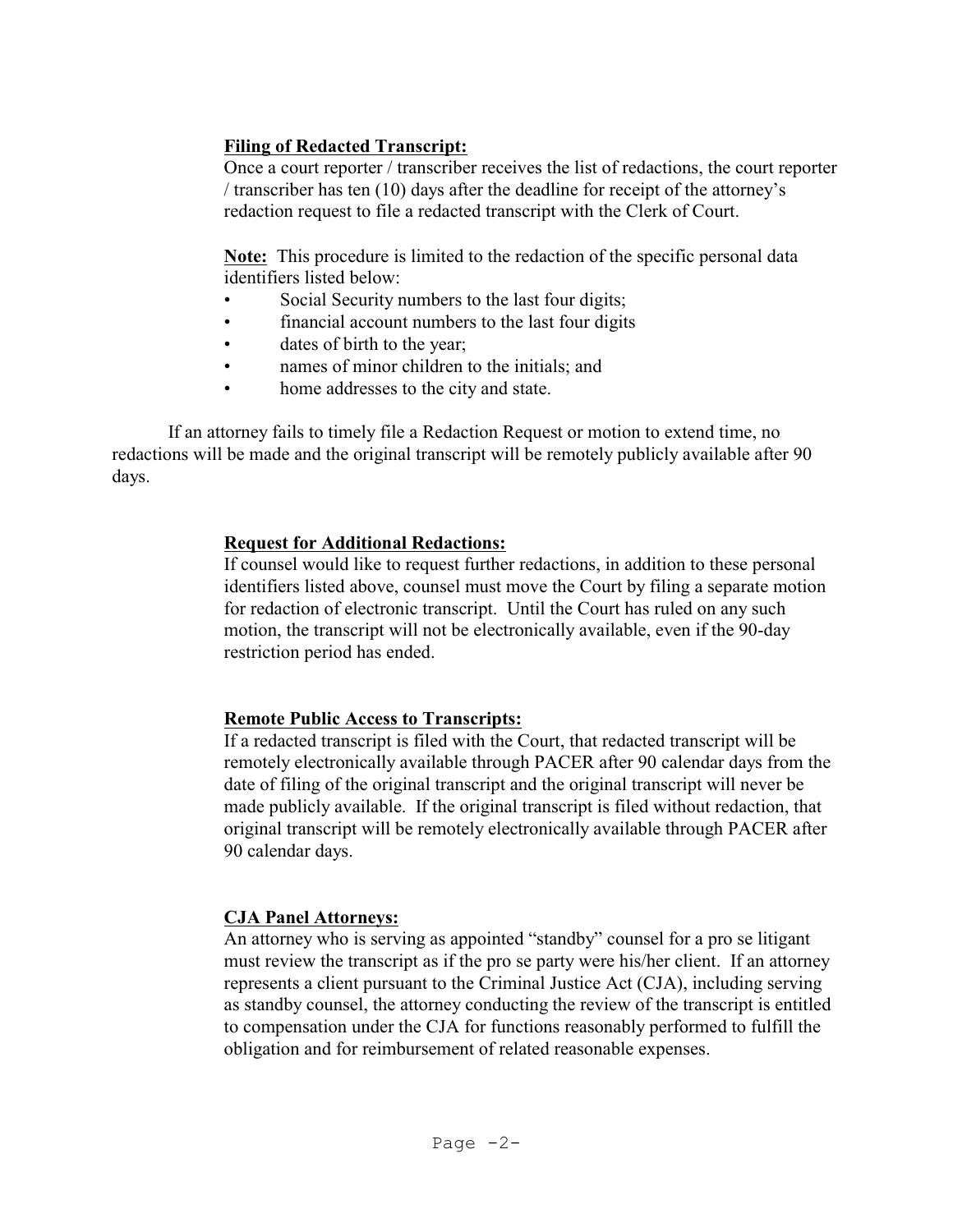## **Filing of Redacted Transcript:**

Once a court reporter / transcriber receives the list of redactions, the court reporter / transcriber has ten (10) days after the deadline for receipt of the attorney's redaction request to file a redacted transcript with the Clerk of Court.

**Note:** This procedure is limited to the redaction of the specific personal data identifiers listed below:

- Social Security numbers to the last four digits;
- financial account numbers to the last four digits
- dates of birth to the year:
- names of minor children to the initials; and
- home addresses to the city and state.

If an attorney fails to timely file a Redaction Request or motion to extend time, no redactions will be made and the original transcript will be remotely publicly available after 90 days.

## **Request for Additional Redactions:**

If counsel would like to request further redactions, in addition to these personal identifiers listed above, counsel must move the Court by filing a separate motion for redaction of electronic transcript. Until the Court has ruled on any such motion, the transcript will not be electronically available, even if the 90-day restriction period has ended.

## **Remote Public Access to Transcripts:**

If a redacted transcript is filed with the Court, that redacted transcript will be remotely electronically available through PACER after 90 calendar days from the date of filing of the original transcript and the original transcript will never be made publicly available. If the original transcript is filed without redaction, that original transcript will be remotely electronically available through PACER after 90 calendar days.

## **CJA Panel Attorneys:**

An attorney who is serving as appointed "standby" counsel for a pro se litigant must review the transcript as if the pro se party were his/her client. If an attorney represents a client pursuant to the Criminal Justice Act (CJA), including serving as standby counsel, the attorney conducting the review of the transcript is entitled to compensation under the CJA for functions reasonably performed to fulfill the obligation and for reimbursement of related reasonable expenses.